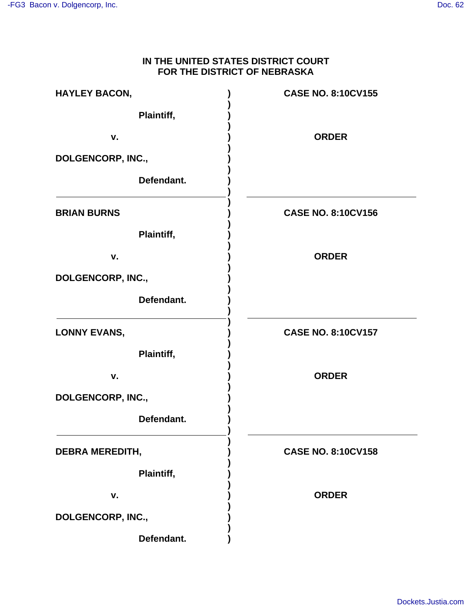## **IN THE UNITED STATES DISTRICT COURT FOR THE DISTRICT OF NEBRASKA**

| <b>HAYLEY BACON,</b>   | <b>CASE NO. 8:10CV155</b> |
|------------------------|---------------------------|
| Plaintiff,             |                           |
| v.                     | <b>ORDER</b>              |
| DOLGENCORP, INC.,      |                           |
| Defendant.             |                           |
| <b>BRIAN BURNS</b>     | <b>CASE NO. 8:10CV156</b> |
| Plaintiff,             |                           |
| v.                     | <b>ORDER</b>              |
| DOLGENCORP, INC.,      |                           |
| Defendant.             |                           |
| <b>LONNY EVANS,</b>    | <b>CASE NO. 8:10CV157</b> |
| Plaintiff,             |                           |
| v.                     | <b>ORDER</b>              |
| DOLGENCORP, INC.,      |                           |
| Defendant.             |                           |
| <b>DEBRA MEREDITH,</b> | <b>CASE NO. 8:10CV158</b> |
| Plaintiff,             |                           |
| v.                     | <b>ORDER</b>              |
| DOLGENCORP, INC.,      |                           |
| Defendant.             |                           |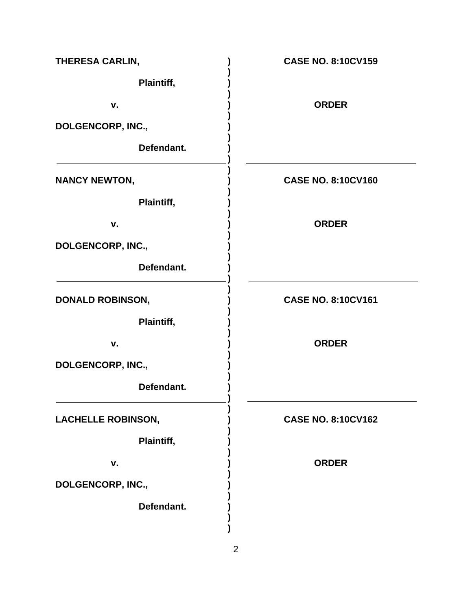| THERESA CARLIN,           | <b>CASE NO. 8:10CV159</b> |
|---------------------------|---------------------------|
| Plaintiff,                |                           |
| v.                        | <b>ORDER</b>              |
| DOLGENCORP, INC.,         |                           |
| Defendant.                |                           |
| <b>NANCY NEWTON,</b>      | <b>CASE NO. 8:10CV160</b> |
| Plaintiff,                |                           |
| v.                        | <b>ORDER</b>              |
| DOLGENCORP, INC.,         |                           |
| Defendant.                |                           |
| <b>DONALD ROBINSON,</b>   | <b>CASE NO. 8:10CV161</b> |
| Plaintiff,                |                           |
| v.                        | <b>ORDER</b>              |
| DOLGENCORP, INC.,         |                           |
| Defendant.                |                           |
| <b>LACHELLE ROBINSON,</b> | <b>CASE NO. 8:10CV162</b> |
| Plaintiff,                |                           |
| v.                        | <b>ORDER</b>              |
| DOLGENCORP, INC.,         |                           |
| Defendant.                |                           |
|                           |                           |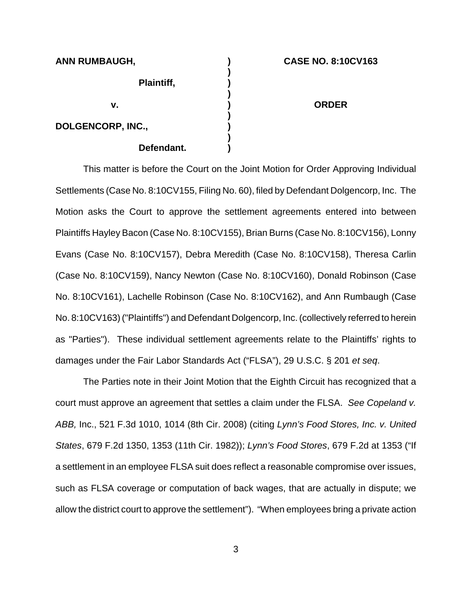| <b>ANN RUMBAUGH,</b> | <b>CASE NO. 8:10CV163</b> |
|----------------------|---------------------------|
| Plaintiff,           |                           |
| ۷.                   | <b>ORDER</b>              |
| DOLGENCORP, INC.,    |                           |
| Defendant.           |                           |

This matter is before the Court on the Joint Motion for Order Approving Individual Settlements (Case No. 8:10CV155, Filing No. 60), filed by Defendant Dolgencorp, Inc. The Motion asks the Court to approve the settlement agreements entered into between Plaintiffs Hayley Bacon (Case No. 8:10CV155), Brian Burns (Case No. 8:10CV156), Lonny Evans (Case No. 8:10CV157), Debra Meredith (Case No. 8:10CV158), Theresa Carlin (Case No. 8:10CV159), Nancy Newton (Case No. 8:10CV160), Donald Robinson (Case No. 8:10CV161), Lachelle Robinson (Case No. 8:10CV162), and Ann Rumbaugh (Case No. 8:10CV163) ("Plaintiffs") and Defendant Dolgencorp, Inc. (collectively referred to herein as "Parties"). These individual settlement agreements relate to the Plaintiffs' rights to damages under the Fair Labor Standards Act ("FLSA"), 29 U.S.C. § 201 et seq.

The Parties note in their Joint Motion that the Eighth Circuit has recognized that a court must approve an agreement that settles a claim under the FLSA. See Copeland v. ABB, Inc., 521 F.3d 1010, 1014 (8th Cir. 2008) (citing Lynn's Food Stores, Inc. v. United States, 679 F.2d 1350, 1353 (11th Cir. 1982)); Lynn's Food Stores, 679 F.2d at 1353 ("If a settlement in an employee FLSA suit does reflect a reasonable compromise over issues, such as FLSA coverage or computation of back wages, that are actually in dispute; we allow the district court to approve the settlement"). "When employees bring a private action